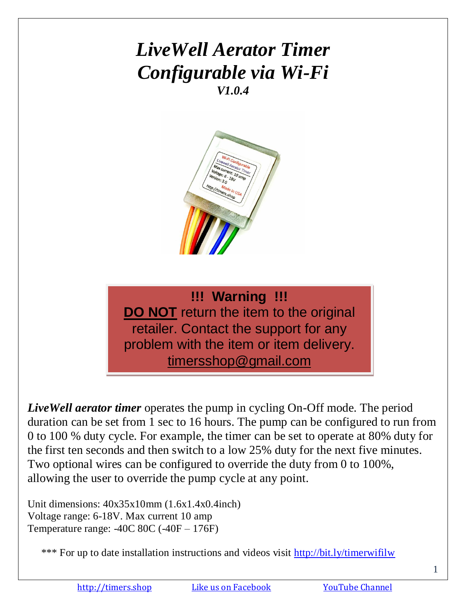# *LiveWell Aerator Timer Configurable via Wi-Fi V1.0.4*



**!!! Warning !!! DO NOT** return the item to the original retailer. Contact the support for any problem with the item or item delivery. timersshop@gmail.com

*LiveWell aerator timer* operates the pump in cycling On-Off mode. The period duration can be set from 1 sec to 16 hours. The pump can be configured to run from 0 to 100 % duty cycle. For example, the timer can be set to operate at 80% duty for the first ten seconds and then switch to a low 25% duty for the next five minutes. Two optional wires can be configured to override the duty from 0 to 100%, allowing the user to override the pump cycle at any point.

Unit dimensions: 40x35x10mm (1.6x1.4x0.4inch) Voltage range: 6-18V. Max current 10 amp Temperature range: -40C 80C (-40F – 176F)

\*\*\* For up to date installation instructions and videos visit<http://bit.ly/timerwifilw>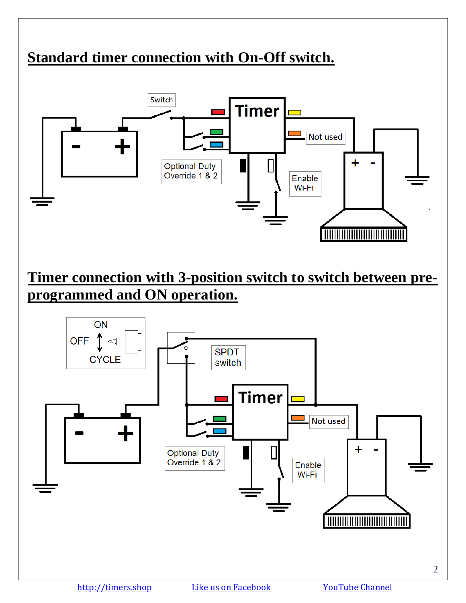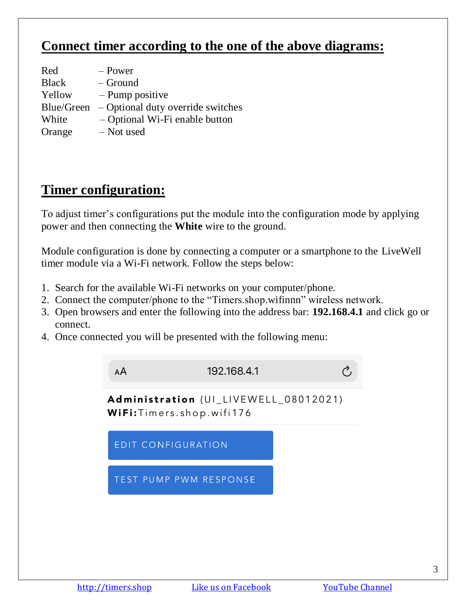#### **Connect timer according to the one of the above diagrams:**

| Red          | – Power                           |
|--------------|-----------------------------------|
| <b>Black</b> | – Ground                          |
| Yellow       | $-$ Pump positive                 |
| Blue/Green   | - Optional duty override switches |
| White        | - Optional Wi-Fi enable button    |
| Orange       | - Not used                        |

#### **Timer configuration:**

To adjust timer's configurations put the module into the configuration mode by applying power and then connecting the **White** wire to the ground.

Module configuration is done by connecting a computer or a smartphone to the LiveWell timer module via a Wi-Fi network. Follow the steps below:

- 1. Search for the available Wi-Fi networks on your computer/phone.
- 2. Connect the computer/phone to the "Timers.shop.wifinnn" wireless network.
- 3. Open browsers and enter the following into the address bar: **192.168.4.1** and click go or connect.
- 4. Once connected you will be presented with the following menu:

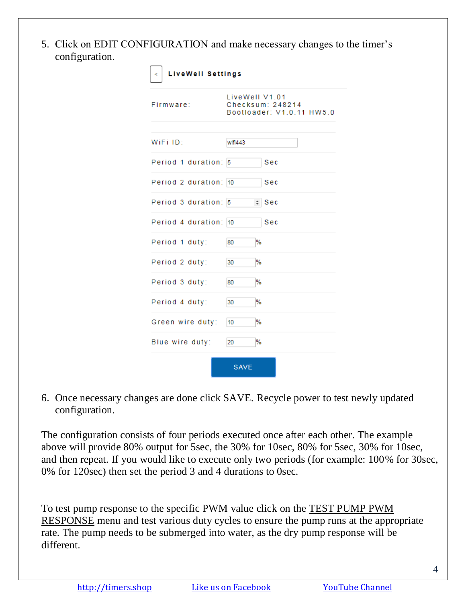5. Click on EDIT CONFIGURATION and make necessary changes to the timer's configuration.

| <b>LiveWell Settings</b><br><. |                                                                 |  |
|--------------------------------|-----------------------------------------------------------------|--|
| Firmware:                      | LiveWell V1.01<br>Checksum: 248214<br>Bootloader: V1.0.11 HW5.0 |  |
| WiFi ID:                       | wifi443                                                         |  |
| Period 1 duration:             | Sec<br>5                                                        |  |
| Period 2 duration:             | Sec<br>10                                                       |  |
| Period 3 duration: 5           | $\div$ Sec                                                      |  |
| Period 4 duration:             | Sec<br>10                                                       |  |
| Period 1 duty:                 | %<br>80                                                         |  |
| Period 2 duty:                 | %<br>30                                                         |  |
| Period 3 duty:                 | %<br>80                                                         |  |
| Period 4 duty:                 | %<br>30                                                         |  |
| Green wire duty:               | %<br>10                                                         |  |
| Blue wire duty:                | %<br>20                                                         |  |
|                                | <b>SAVE</b>                                                     |  |

6. Once necessary changes are done click SAVE. Recycle power to test newly updated configuration.

The configuration consists of four periods executed once after each other. The example above will provide 80% output for 5sec, the 30% for 10sec, 80% for 5sec, 30% for 10sec, and then repeat. If you would like to execute only two periods (for example: 100% for 30sec, 0% for 120sec) then set the period 3 and 4 durations to 0sec.

To test pump response to the specific PWM value click on the TEST PUMP PWM RESPONSE menu and test various duty cycles to ensure the pump runs at the appropriate rate. The pump needs to be submerged into water, as the dry pump response will be different.